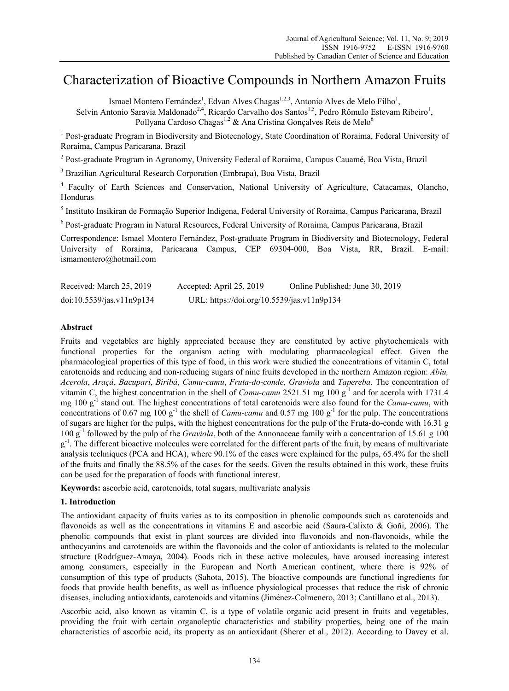# Characterization of Bioactive Compounds in Northern Amazon Fruits

Ismael Montero Fernández<sup>1</sup>, Edvan Alves Chagas<sup>1,2,3</sup>, Antonio Alves de Melo Filho<sup>1</sup>,

Selvin Antonio Saravia Maldonado<sup>2,4</sup>, Ricardo Carvalho dos Santos<sup>1,5</sup>, Pedro Rômulo Estevam Ribeiro<sup>1</sup>, Pollyana Cardoso Chagas<sup>1,2</sup> & Ana Cristina Goncalves Reis de Melo<sup>6</sup>

<sup>1</sup> Post-graduate Program in Biodiversity and Biotecnology, State Coordination of Roraima, Federal University of Roraima, Campus Paricarana, Brazil

<sup>2</sup> Post-graduate Program in Agronomy, University Federal of Roraima, Campus Cauamé, Boa Vista, Brazil

<sup>3</sup> Brazilian Agricultural Research Corporation (Embrapa), Boa Vista, Brazil

4 Faculty of Earth Sciences and Conservation, National University of Agriculture, Catacamas, Olancho, Honduras

5 Instituto Insikiran de Formação Superior Indígena, Federal University of Roraima, Campus Paricarana, Brazil

<sup>6</sup> Post-graduate Program in Natural Resources, Federal University of Roraima, Campus Paricarana, Brazil

Correspondence: Ismael Montero Fernández, Post-graduate Program in Biodiversity and Biotecnology, Federal University of Roraima, Paricarana Campus, CEP 69304-000, Boa Vista, RR, Brazil. E-mail: ismamontero@hotmail.com

| Received: March 25, 2019  | Accepted: April 25, 2019                   | Online Published: June 30, 2019 |  |
|---------------------------|--------------------------------------------|---------------------------------|--|
| doi:10.5539/jas.v11n9p134 | URL: https://doi.org/10.5539/jas.v11n9p134 |                                 |  |

## **Abstract**

Fruits and vegetables are highly appreciated because they are constituted by active phytochemicals with functional properties for the organism acting with modulating pharmacological effect. Given the pharmacological properties of this type of food, in this work were studied the concentrations of vitamin C, total carotenoids and reducing and non-reducing sugars of nine fruits developed in the northern Amazon region: *Abiu, Acerola*, *Araçá*, *Bacuparí*, *Biribá*, *Camu-camu*, *Fruta-do-conde*, *Graviola* and *Tapereba*. The concentration of vitamin C, the highest concentration in the shell of *Camu-camu* 2521.51 mg 100 g<sup>-1</sup> and for acerola with 1731.4 mg 100 g-1 stand out. The highest concentrations of total carotenoids were also found for the *Camu-camu*, with concentrations of 0.67 mg 100  $g^{-1}$  the shell of *Camu-camu* and 0.57 mg 100  $g^{-1}$  for the pulp. The concentrations of sugars are higher for the pulps, with the highest concentrations for the pulp of the Fruta-do-conde with 16.31 g 100 g-1 followed by the pulp of the *Graviola*, both of the Annonaceae family with a concentration of 15.61 g 100  $g^{-1}$ . The different bioactive molecules were correlated for the different parts of the fruit, by means of multivariate analysis techniques (PCA and HCA), where 90.1% of the cases were explained for the pulps, 65.4% for the shell of the fruits and finally the 88.5% of the cases for the seeds. Given the results obtained in this work, these fruits can be used for the preparation of foods with functional interest.

**Keywords:** ascorbic acid, carotenoids, total sugars, multivariate analysis

# **1. Introduction**

The antioxidant capacity of fruits varies as to its composition in phenolic compounds such as carotenoids and flavonoids as well as the concentrations in vitamins E and ascorbic acid (Saura-Calixto & Goñi, 2006). The phenolic compounds that exist in plant sources are divided into flavonoids and non-flavonoids, while the anthocyanins and carotenoids are within the flavonoids and the color of antioxidants is related to the molecular structure (Rodríguez-Amaya, 2004). Foods rich in these active molecules, have aroused increasing interest among consumers, especially in the European and North American continent, where there is 92% of consumption of this type of products (Sahota, 2015). The bioactive compounds are functional ingredients for foods that provide health benefits, as well as influence physiological processes that reduce the risk of chronic diseases, including antioxidants, carotenoids and vitamins (Jiménez-Colmenero, 2013; Cantillano et al., 2013).

Ascorbic acid, also known as vitamin C, is a type of volatile organic acid present in fruits and vegetables, providing the fruit with certain organoleptic characteristics and stability properties, being one of the main characteristics of ascorbic acid, its property as an antioxidant (Sherer et al., 2012). According to Davey et al.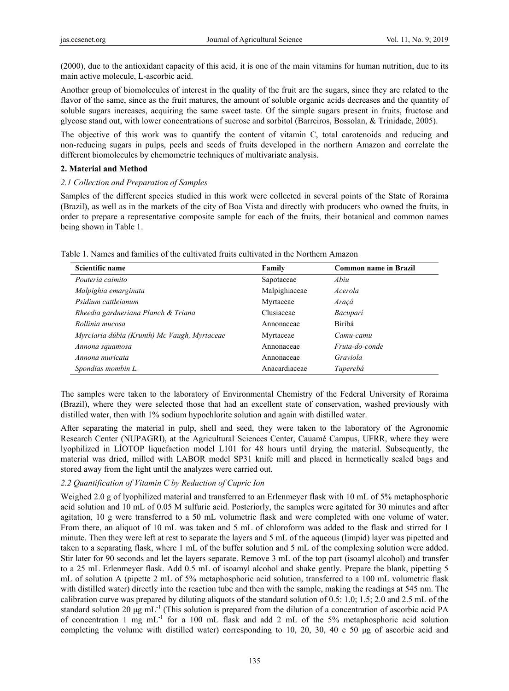(2000), due to the antioxidant capacity of this acid, it is one of the main vitamins for human nutrition, due to its main active molecule, L-ascorbic acid.

Another group of biomolecules of interest in the quality of the fruit are the sugars, since they are related to the flavor of the same, since as the fruit matures, the amount of soluble organic acids decreases and the quantity of soluble sugars increases, acquiring the same sweet taste. Of the simple sugars present in fruits, fructose and glycose stand out, with lower concentrations of sucrose and sorbitol (Barreiros, Bossolan, & Trinidade, 2005).

The objective of this work was to quantify the content of vitamin C, total carotenoids and reducing and non-reducing sugars in pulps, peels and seeds of fruits developed in the northern Amazon and correlate the different biomolecules by chemometric techniques of multivariate analysis.

## **2. Material and Method**

#### *2.1 Collection and Preparation of Samples*

Samples of the different species studied in this work were collected in several points of the State of Roraima (Brazil), as well as in the markets of the city of Boa Vista and directly with producers who owned the fruits, in order to prepare a representative composite sample for each of the fruits, their botanical and common names being shown in Table 1.

| Scientific name                              | Family        | <b>Common name in Brazil</b> |  |
|----------------------------------------------|---------------|------------------------------|--|
| Pouteria caimito                             | Sapotaceae    | Abiu                         |  |
| Malpighia emarginata                         | Malpighiaceae | Acerola                      |  |
| Psidium cattleianum                          | Myrtaceae     | Araçá                        |  |
| Rheedia gardneriana Planch & Triana          | Clusiaceae    | Bacuparí                     |  |
| Rollinia mucosa                              | Annonaceae    | Biribá                       |  |
| Myrciaria dúbia (Krunth) Mc Vaugh, Myrtaceae | Myrtaceae     | Camu-camu                    |  |
| Annona squamosa                              | Annonaceae    | Fruta-do-conde               |  |
| Annona muricata                              | Annonaceae    | Graviola                     |  |
| Spondias mombin L.                           | Anacardiaceae | Taperebá                     |  |

Table 1. Names and families of the cultivated fruits cultivated in the Northern Amazon

The samples were taken to the laboratory of Environmental Chemistry of the Federal University of Roraima (Brazil), where they were selected those that had an excellent state of conservation, washed previously with distilled water, then with 1% sodium hypochlorite solution and again with distilled water.

After separating the material in pulp, shell and seed, they were taken to the laboratory of the Agronomic Research Center (NUPAGRI), at the Agricultural Sciences Center, Cauamé Campus, UFRR, where they were lyophilized in LÍOTOP liquefaction model L101 for 48 hours until drying the material. Subsequently, the material was dried, milled with LABOR model SP31 knife mill and placed in hermetically sealed bags and stored away from the light until the analyzes were carried out.

#### *2.2 Quantification of Vitamin C by Reduction of Cupric Ion*

Weighed 2.0 g of lyophilized material and transferred to an Erlenmeyer flask with 10 mL of 5% metaphosphoric acid solution and 10 mL of 0.05 M sulfuric acid. Posteriorly, the samples were agitated for 30 minutes and after agitation, 10 g were transferred to a 50 mL volumetric flask and were completed with one volume of water. From there, an aliquot of 10 mL was taken and 5 mL of chloroform was added to the flask and stirred for 1 minute. Then they were left at rest to separate the layers and 5 mL of the aqueous (limpid) layer was pipetted and taken to a separating flask, where 1 mL of the buffer solution and 5 mL of the complexing solution were added. Stir later for 90 seconds and let the layers separate. Remove 3 mL of the top part (isoamyl alcohol) and transfer to a 25 mL Erlenmeyer flask. Add 0.5 mL of isoamyl alcohol and shake gently. Prepare the blank, pipetting 5 mL of solution A (pipette 2 mL of 5% metaphosphoric acid solution, transferred to a 100 mL volumetric flask with distilled water) directly into the reaction tube and then with the sample, making the readings at 545 nm. The calibration curve was prepared by diluting aliquots of the standard solution of 0.5: 1.0; 1.5; 2.0 and 2.5 mL of the standard solution 20 μg mL-1 (This solution is prepared from the dilution of a concentration of ascorbic acid PA of concentration 1 mg  $mL^{-1}$  for a 100 mL flask and add 2 mL of the 5% metaphosphoric acid solution completing the volume with distilled water) corresponding to 10, 20, 30, 40 e 50 μg of ascorbic acid and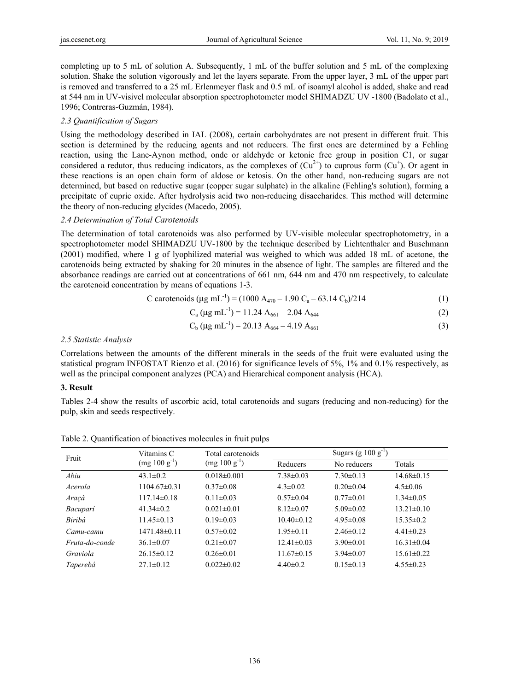completing up to 5 mL of solution A. Subsequently, 1 mL of the buffer solution and 5 mL of the complexing solution. Shake the solution vigorously and let the layers separate. From the upper layer, 3 mL of the upper part is removed and transferred to a 25 mL Erlenmeyer flask and 0.5 mL of isoamyl alcohol is added, shake and read at 544 nm in UV-visivel molecular absorption spectrophotometer model SHIMADZU UV -1800 (Badolato et al., 1996; Contreras-Guzmán, 1984).

## *2.3 Quantification of Sugars*

Using the methodology described in IAL (2008), certain carbohydrates are not present in different fruit. This section is determined by the reducing agents and not reducers. The first ones are determined by a Fehling reaction, using the Lane-Aynon method, onde or aldehyde or ketonic free group in position C1, or sugar considered a redutor, thus reducing indicators, as the complexes of  $(Cu^{2+})$  to cuprous form  $(Cu^{+})$ . Or agent in these reactions is an open chain form of aldose or ketosis. On the other hand, non-reducing sugars are not determined, but based on reductive sugar (copper sugar sulphate) in the alkaline (Fehling's solution), forming a precipitate of cupric oxide. After hydrolysis acid two non-reducing disaccharides. This method will determine the theory of non-reducing glycides (Macedo, 2005).

## *2.4 Determination of Total Carotenoids*

The determination of total carotenoids was also performed by UV-visible molecular spectrophotometry, in a spectrophotometer model SHIMADZU UV-1800 by the technique described by Lichtenthaler and Buschmann (2001) modified, where 1 g of lyophilized material was weighed to which was added 18 mL of acetone, the carotenoids being extracted by shaking for 20 minutes in the absence of light. The samples are filtered and the absorbance readings are carried out at concentrations of 661 nm, 644 nm and 470 nm respectively, to calculate the carotenoid concentration by means of equations 1-3.

C carotenoids (
$$
\mu g
$$
 mL<sup>-1</sup>) = (1000 A<sub>470</sub> – 1.90 C<sub>a</sub> – 63.14 C<sub>b</sub>)/214 (1)

$$
C_a (\mu g \text{ mL}^{-1}) = 11.24 \text{ A}_{661} - 2.04 \text{ A}_{644}
$$
 (2)

$$
C_b (\mu g \text{ mL}^{-1}) = 20.13 \text{ A}_{664} - 4.19 \text{ A}_{661}
$$
 (3)

## *2.5 Statistic Analysis*

Correlations between the amounts of the different minerals in the seeds of the fruit were evaluated using the statistical program INFOSTAT Rienzo et al. (2016) for significance levels of 5%, 1% and 0.1% respectively, as well as the principal component analyzes (PCA) and Hierarchical component analysis (HCA).

# **3. Result**

Tables 2-4 show the results of ascorbic acid, total carotenoids and sugars (reducing and non-reducing) for the pulp, skin and seeds respectively.

| Fruit          | Vitamins C<br>$(mg 100 g^{-1})$ | Total carotenoids | Sugars (g $100 g^{-1}$ ) |                 |                  |
|----------------|---------------------------------|-------------------|--------------------------|-----------------|------------------|
|                |                                 | $(mg 100 g^{-1})$ | Reducers                 | No reducers     | Totals           |
| Abiu           | $43.1 \pm 0.2$                  | $0.018 \pm 0.001$ | $7.38 \pm 0.03$          | $7.30\pm0.13$   | $14.68\pm0.15$   |
| Acerola        | $1104.67\pm0.31$                | $0.37\pm0.08$     | $4.3 \pm 0.02$           | $0.20 \pm 0.04$ | $4.5 \pm 0.06$   |
| Araçá          | $117.14\pm0.18$                 | $0.11 \pm 0.03$   | $0.57 \pm 0.04$          | $0.77 \pm 0.01$ | $1.34\pm0.05$    |
| Bacuparí       | $41.34\pm0.2$                   | $0.021 \pm 0.01$  | $8.12\pm0.07$            | $5.09 \pm 0.02$ | $13.21 \pm 0.10$ |
| Biribá         | $11.45\pm0.13$                  | $0.19 \pm 0.03$   | $10.40 \pm 0.12$         | $4.95\pm0.08$   | $15.35 \pm 0.2$  |
| Camu-camu      | $1471.48\pm0.11$                | $0.57 \pm 0.02$   | $1.95 \pm 0.11$          | $2.46\pm 0.12$  | $4.41\pm0.23$    |
| Fruta-do-conde | $36.1 \pm 0.07$                 | $0.21 \pm 0.07$   | $12.41 \pm 0.03$         | $3.90 \pm 0.01$ | $16.31 \pm 0.04$ |
| Graviola       | $26.15 \pm 0.12$                | $0.26 \pm 0.01$   | $11.67\pm0.15$           | $3.94\pm0.07$   | $15.61 \pm 0.22$ |
| Taperebá       | $27.1 \pm 0.12$                 | $0.022 \pm 0.02$  | $4.40 \pm 0.2$           | $0.15 \pm 0.13$ | $4.55\pm0.23$    |

Table 2. Quantification of bioactives molecules in fruit pulps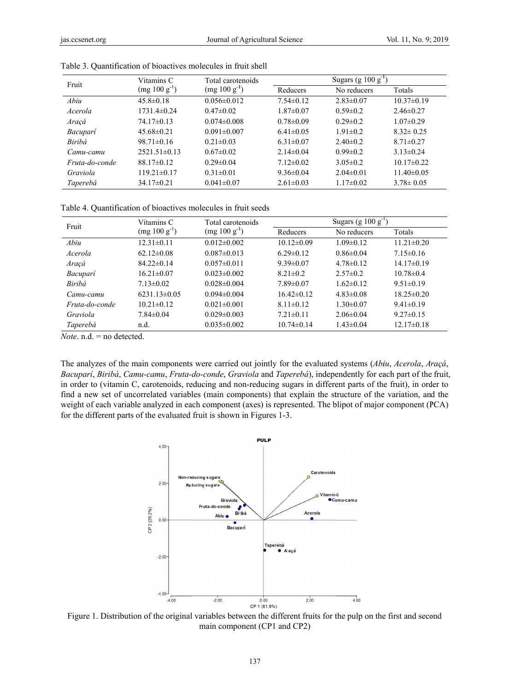| Fruit          | Vitamins C<br>Total carotenoids<br>$(mg 100 g^{-1})$<br>$(mg 100 g^{-1})$ |                   | Sugars (g $100 \text{ g}^{-1}$ ) |                 |                  |
|----------------|---------------------------------------------------------------------------|-------------------|----------------------------------|-----------------|------------------|
|                |                                                                           | Reducers          | No reducers                      | Totals          |                  |
| Abiu           | $45.8 \pm 0.18$                                                           | $0.056 \pm 0.012$ | $7.54 \pm 0.12$                  | $2.83 \pm 0.07$ | $10.37 \pm 0.19$ |
| Acerola        | 1731.4±0.24                                                               | $0.47 \pm 0.02$   | $1.87 \pm 0.07$                  | $0.59 \pm 0.2$  | $2.46 \pm 0.27$  |
| Araçá          | $74.17\pm0.13$                                                            | $0.074 \pm 0.008$ | $0.78 \pm 0.09$                  | $0.29 \pm 0.2$  | $1.07 \pm 0.29$  |
| Bacuparí       | $45.68 \pm 0.21$                                                          | $0.091 \pm 0.007$ | $6.41 \pm 0.05$                  | $1.91 \pm 0.2$  | $8.32 \pm 0.25$  |
| Biribá         | $98.71 \pm 0.16$                                                          | $0.21 \pm 0.03$   | $6.31 \pm 0.07$                  | $2.40\pm0.2$    | $8.71 \pm 0.27$  |
| Camu-camu      | $2521.51\pm0.13$                                                          | $0.67 \pm 0.02$   | $2.14\pm0.04$                    | $0.99 \pm 0.2$  | $3.13 \pm 0.24$  |
| Fruta-do-conde | $88.17 \pm 0.12$                                                          | $0.29 \pm 0.04$   | $7.12 \pm 0.02$                  | $3.05 \pm 0.2$  | $10.17\pm0.22$   |
| Graviola       | $119.21 \pm 0.17$                                                         | $0.31 \pm 0.01$   | $9.36 \pm 0.04$                  | $2.04 \pm 0.01$ | $11.40 \pm 0.05$ |
| Taperebá       | $34.17\pm0.21$                                                            | $0.041 \pm 0.07$  | $2.61 \pm 0.03$                  | $1.17 \pm 0.02$ | $3.78 \pm 0.05$  |

Table 3. Quantification of bioactives molecules in fruit shell

Table 4. Quantification of bioactives molecules in fruit seeds

| Fruit          | Vitamins C        | Total carotenoids | Sugars (g $100 g^{-1}$ ) |                 |                  |
|----------------|-------------------|-------------------|--------------------------|-----------------|------------------|
|                | $(mg 100 g^{-1})$ | $(mg 100 g^{-1})$ | Reducers                 | No reducers     | Totals           |
| Abiu           | $12.31 \pm 0.11$  | $0.012 \pm 0.002$ | $10.12\pm0.09$           | $1.09 \pm 0.12$ | $11.21 \pm 0.20$ |
| Acerola        | $62.12 \pm 0.08$  | $0.087 \pm 0.013$ | $6.29 \pm 0.12$          | $0.86 \pm 0.04$ | $7.15 \pm 0.16$  |
| Araçá          | $84.22 \pm 0.14$  | $0.057 \pm 0.011$ | $9.39 \pm 0.07$          | $4.78\pm0.12$   | $14.17\pm0.19$   |
| Bacuparí       | $16.21 \pm 0.07$  | $0.023 \pm 0.002$ | $8.21 \pm 0.2$           | $2.57\pm0.2$    | $10.78 \pm 0.4$  |
| Biribá         | $7.13 \pm 0.02$   | $0.028 \pm 0.004$ | $7.89 \pm 0.07$          | $1.62 \pm 0.12$ | $9.51 \pm 0.19$  |
| Camu-camu      | $6231.13\pm0.05$  | $0.094 \pm 0.004$ | $16.42\pm0.12$           | $4.83 \pm 0.08$ | $18.25 \pm 0.20$ |
| Fruta-do-conde | $10.21 \pm 0.12$  | $0.021 \pm 0.001$ | $8.11 \pm 0.12$          | $1.30 \pm 0.07$ | $9.41 \pm 0.19$  |
| Graviola       | $7.84 \pm 0.04$   | $0.029 \pm 0.003$ | $7.21 \pm 0.11$          | $2.06\pm0.04$   | $9.27 \pm 0.15$  |
| Taperebá       | n.d.              | $0.035 \pm 0.002$ | $10.74 \pm 0.14$         | $1.43 \pm 0.04$ | $12.17\pm0.18$   |

*Note*. n.d. = no detected.

*Note*. n.d. = no detected.<br>The analyzes of the main components were carried out jointly for the evaluated systems (*Abiu, Acerola, Araçá*, Bacuparí, Biribá, Camu-camu, Fruta-do-conde, Graviola and Taperebá), independently for each part of the fruit, in order to (vitamin C, carotenoids, reducing and non-reducing sugars in different parts of the fruit), in order to find a new set of uncorrelated variables (main components) that explain the structure of the variation, and the weight of each variable analyzed in each component (axes) is represented. The blipot of major component (PCA) for the different parts of the evaluated fruit is shown in Figures 1-3.



Figure 1. Distribution of the original variables between the different fruits for the pulp on the first and second main component (CP1 and CP2)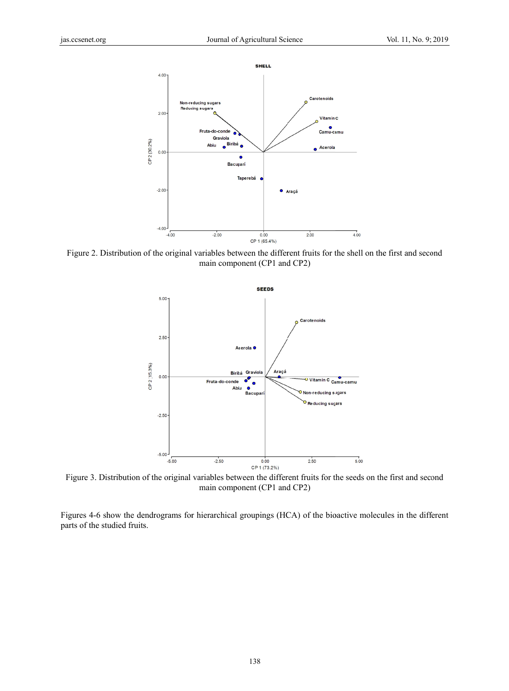

Figure 2. Distribution of the original variables between the different fruits for the shell on the first and second main component (CP1 and CP2)



Figure 3. Distribution of the original variables between the different fruits for the seeds on the first and second main component (CP1 and CP2)

Figures 4-6 show the dendrograms for hierarchical groupings (HCA) of the bioactive molecules in the different parts of the studied fruits.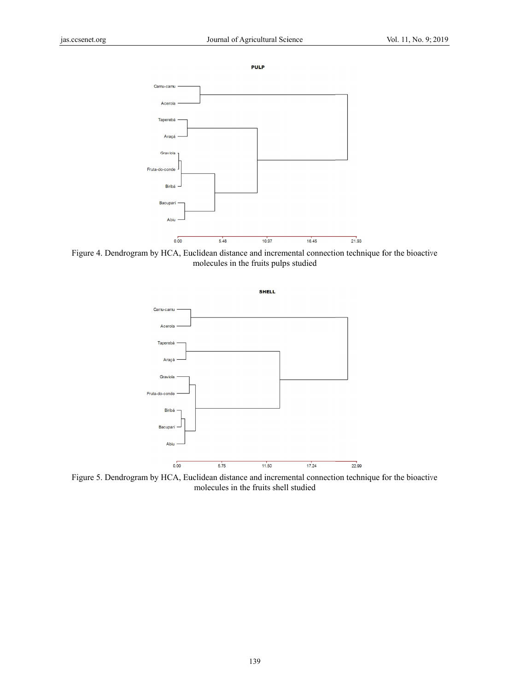```
PULP
```


Figure 4. Dendrogram by HCA, Euclidean distance and incremental connection technique for the bioactive molecules in the fruits pulps studied



Figure 5. Dendrogram by HCA, Euclidean distance and incremental connection technique for the bioactive molecules in the fruits shell l studied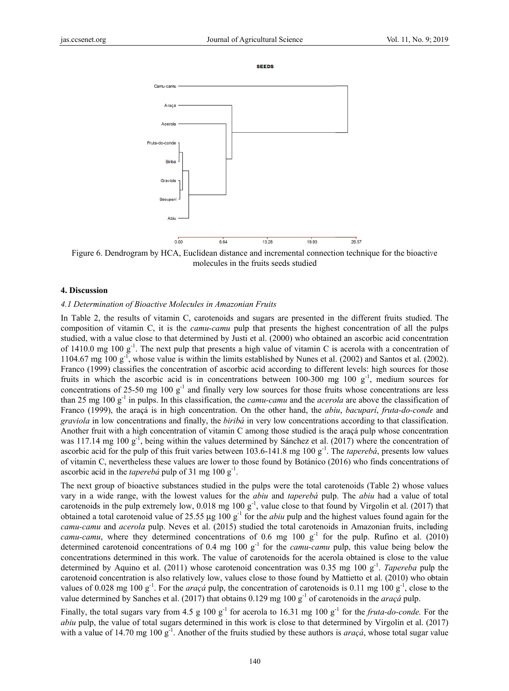**SEEDS** 



Figure 6. Dendrogram by HCA, Euclidean distance and incremental connection technique for the bioactive molecules in the fruits seeds studied

#### **4. Discuss sion**

#### 4.1 Determination of Bioactive Molecules in Amazonian Fruits

In Table 2, the results of vitamin C, carotenoids and sugars are presented in the different fruits studied. The composition of vitamin C, it is the *camu-camu* pulp that presents the highest concentration of all the pulps studied, with a value close to that determined by Justi et al. (2000) who obtained an ascorbic acid concentration of 1410.0 1104.67 m Franco (1999) classifies the concentration of ascorbic acid according to different levels: high sources for those fruits in which the ascorbic acid is in concentrations between 100-300 mg 100  $g^{-1}$ , medium sources for concentrations of 25-50 mg 100  $g^{-1}$  and finally very low sources for those fruits whose concentrations are less than 25 mg 100 g<sup>-1</sup> in pulps. In this classification, the *camu-camu* and the *acerola* are above the classification of Franco (1999), the araçá is in high concentration. On the other hand, the *abiu*, *bacupari*, *fruta-do-conde* and graviola in low concentrations and finally, the *biriba* in very low concentrations according to that classification. Another fruit with a high concentration of vitamin C among those studied is the araçá pulp whose concentration was 117.14 mg 100  $g^{-1}$ , being within the values determined by Sánchez et al. (2017) where the concentration of ascorbic acid for the pulp of this fruit varies between  $103.6$ -141.8 mg  $100 \text{ g}^{-1}$ . The *taperebá*, presents low values of vitamin C, nevertheless these values are lower to those found by Botánico (2016) who finds concentrations of ascorbic acid in the *taperebá* pulp of 31 mg 100 g<sup>-1</sup>. mg  $100 \text{ g}^{-1}$ . T mg  $100 \text{ g}^{-1}$ , who The next pulp ose value is w that presents a within the limits a high value o s established b of vitamin C is by Nunes et al s acerola with . (2002) and S a concentratio Santos et al. (2 on of 002).

The next group of bioactive substances studied in the pulps were the total carotenoids (Table 2) whose values vary in a wide range, with the lowest values for the *abiu* and *taperebá* pulp. The *abiu* had a value of total carotenoids in the pulp extremely low,  $0.018$  mg  $100 \text{ g}^{-1}$ , value close to that found by Virgolin et al. (2017) that obtained a total carotenoid value of 25.55  $\mu$ g 100 g<sup>-1</sup> for the *abiu* pulp and the highest values found again for the camu-camu and *acerola* pulp. Neves et al. (2015) studied the total carotenoids in Amazonian fruits, including *camu-camu*, where they determined concentrations of 0.6 mg 100  $g^{-1}$  for the pulp. Rufino et al. (2010) determined carotenoid concentrations of 0.4 mg 100  $g^{-1}$  for the *camu-camu* pulp, this value being below the concentrations determined in this work. The value of carotenoids for the acerola obtained is close to the value determined by Aquino et al. (2011) whose carotenoid concentration was 0.35 mg 100  $g^{-1}$ . Tapereba pulp the carotenoid concentration is also relatively low, values close to those found by Mattietto et al. (2010) who obtain values of 0.028 mg 100  $g^{-1}$ . For the *araçá* pulp, the concentration of carotenoids is 0.11 mg 100  $g^{-1}$ , close to the value determined by Sanches et al. (2017) that obtains 0.129 mg 100 g<sup>-1</sup> of carotenoids in the *araçá* pulp.

Finally, the total sugars vary from 4.5 g 100  $g^{-1}$  for acerola to 16.31 mg 100  $g^{-1}$  for the *fruta-do-conde*. For the *abiu* pulp, the value of total sugars determined in this work is close to that determined by Virgolin et al. (2017) with a value of 14.70 mg 100  $g^{-1}$ . Another of the fruits studied by these authors is *araçá*, whose total sugar value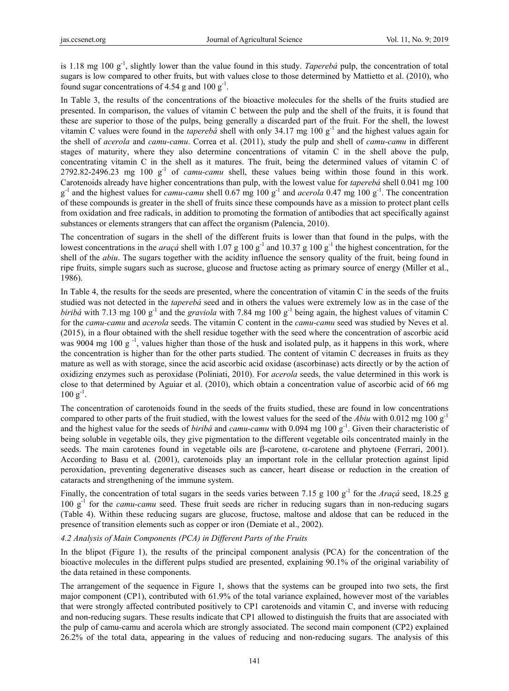is 1.18 mg 100 g-1, slightly lower than the value found in this study. *Taperebá* pulp, the concentration of total sugars is low compared to other fruits, but with values close to those determined by Mattietto et al. (2010), who found sugar concentrations of 4.54 g and 100  $g^{-1}$ .

In Table 3, the results of the concentrations of the bioactive molecules for the shells of the fruits studied are presented. In comparison, the values of vitamin C between the pulp and the shell of the fruits, it is found that these are superior to those of the pulps, being generally a discarded part of the fruit. For the shell, the lowest vitamin C values were found in the *tapereba* shell with only 34.17 mg 100  $g^{-1}$  and the highest values again for the shell of *acerola* and *camu-camu*. Correa et al. (2011), study the pulp and shell of *camu-camu* in different stages of maturity, where they also determine concentrations of vitamin C in the shell above the pulp, concentrating vitamin C in the shell as it matures. The fruit, being the determined values of vitamin C of 2792.82-2496.23 mg 100 g-1 of *camu-camu* shell, these values being within those found in this work. Carotenoids already have higher concentrations than pulp, with the lowest value for *taperebá* shell 0.041 mg 100 g<sup>-1</sup> and the highest values for *camu-camu* shell 0.67 mg 100 g<sup>-1</sup> and *acerola* 0.47 mg 100 g<sup>-1</sup>. The concentration of these compounds is greater in the shell of fruits since these compounds have as a mission to protect plant cells from oxidation and free radicals, in addition to promoting the formation of antibodies that act specifically against substances or elements strangers that can affect the organism (Palencia, 2010).

The concentration of sugars in the shell of the different fruits is lower than that found in the pulps, with the lowest concentrations in the *araçá* shell with 1.07 g 100 g<sup>-1</sup> and 10.37 g 100 g<sup>-1</sup> the highest concentration, for the shell of the *abiu*. The sugars together with the acidity influence the sensory quality of the fruit, being found in ripe fruits, simple sugars such as sucrose, glucose and fructose acting as primary source of energy (Miller et al., 1986).

In Table 4, the results for the seeds are presented, where the concentration of vitamin C in the seeds of the fruits studied was not detected in the *taperebá* seed and in others the values were extremely low as in the case of the *biribá* with 7.13 mg 100 g<sup>-1</sup> and the *graviola* with 7.84 mg 100 g<sup>-1</sup> being again, the highest values of vitamin C for the *camu-camu* and *acerola* seeds. The vitamin C content in the *camu-camu* seed was studied by Neves et al. (2015), in a flour obtained with the shell residue together with the seed where the concentration of ascorbic acid was 9004 mg 100 g<sup>-1</sup>, values higher than those of the husk and isolated pulp, as it happens in this work, where the concentration is higher than for the other parts studied. The content of vitamin C decreases in fruits as they mature as well as with storage, since the acid ascorbic acid oxidase (ascorbinase) acts directly or by the action of oxidizing enzymes such as peroxidase (Poliniati, 2010). For *acerola* seeds, the value determined in this work is close to that determined by Aguiar et al. (2010), which obtain a concentration value of ascorbic acid of 66 mg  $100 \text{ g}^{-1}$ .

The concentration of carotenoids found in the seeds of the fruits studied, these are found in low concentrations compared to other parts of the fruit studied, with the lowest values for the seed of the *Abiu* with 0.012 mg 100 g-1 and the highest value for the seeds of *biribá* and *camu-camu* with 0.094 mg 100 g<sup>-1</sup>. Given their characteristic of being soluble in vegetable oils, they give pigmentation to the different vegetable oils concentrated mainly in the seeds. The main carotenes found in vegetable oils are  $\beta$ -carotene,  $\alpha$ -carotene and phytoene (Ferrari, 2001). According to Basu et al. (2001), carotenoids play an important role in the cellular protection against lipid peroxidation, preventing degenerative diseases such as cancer, heart disease or reduction in the creation of cataracts and strengthening of the immune system.

Finally, the concentration of total sugars in the seeds varies between 7.15 g 100 g<sup>-1</sup> for the *Araçá* seed, 18.25 g 100 g-1 for the *camu-camu* seed. These fruit seeds are richer in reducing sugars than in non-reducing sugars (Table 4). Within these reducing sugars are glucose, fructose, maltose and aldose that can be reduced in the presence of transition elements such as copper or iron (Demiate et al., 2002).

#### *4.2 Analysis of Main Components (PCA) in Different Parts of the Fruits*

In the blipot (Figure 1), the results of the principal component analysis (PCA) for the concentration of the bioactive molecules in the different pulps studied are presented, explaining 90.1% of the original variability of the data retained in these components.

The arrangement of the sequence in Figure 1, shows that the systems can be grouped into two sets, the first major component (CP1), contributed with 61.9% of the total variance explained, however most of the variables that were strongly affected contributed positively to CP1 carotenoids and vitamin C, and inverse with reducing and non-reducing sugars. These results indicate that CP1 allowed to distinguish the fruits that are associated with the pulp of camu-camu and acerola which are strongly associated. The second main component (CP2) explained 26.2% of the total data, appearing in the values of reducing and non-reducing sugars. The analysis of this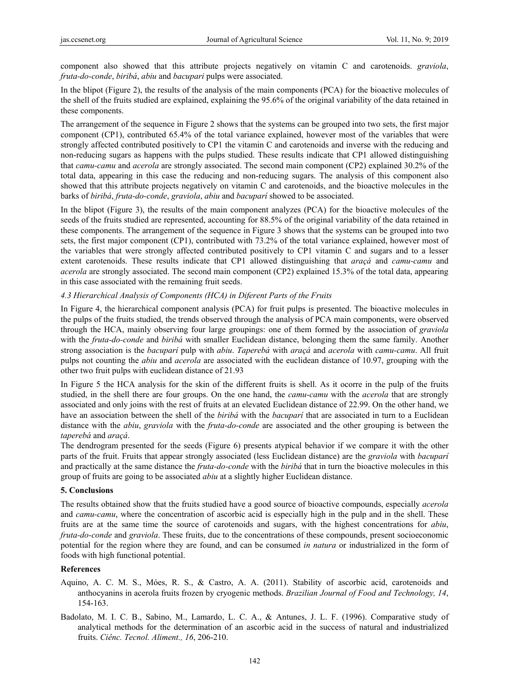component also showed that this attribute projects negatively on vitamin C and carotenoids. *graviola*, *fruta-do-conde*, *biribá*, *abiu* and *bacupari* pulps were associated.

In the blipot (Figure 2), the results of the analysis of the main components (PCA) for the bioactive molecules of the shell of the fruits studied are explained, explaining the 95.6% of the original variability of the data retained in these components.

The arrangement of the sequence in Figure 2 shows that the systems can be grouped into two sets, the first major component (CP1), contributed 65.4% of the total variance explained, however most of the variables that were strongly affected contributed positively to CP1 the vitamin C and carotenoids and inverse with the reducing and non-reducing sugars as happens with the pulps studied. These results indicate that CP1 allowed distinguishing that *camu-camu* and *acerola* are strongly associated. The second main component (CP2) explained 30.2% of the total data, appearing in this case the reducing and non-reducing sugars. The analysis of this component also showed that this attribute projects negatively on vitamin C and carotenoids, and the bioactive molecules in the barks of *biribá*, *fruta-do-conde*, *graviola*, *abiu* and *bacuparí* showed to be associated.

In the blipot (Figure 3), the results of the main component analyzes (PCA) for the bioactive molecules of the seeds of the fruits studied are represented, accounting for 88.5% of the original variability of the data retained in these components. The arrangement of the sequence in Figure 3 shows that the systems can be grouped into two sets, the first major component (CP1), contributed with 73.2% of the total variance explained, however most of the variables that were strongly affected contributed positively to CP1 vitamin C and sugars and to a lesser extent carotenoids. These results indicate that CP1 allowed distinguishing that *araçá* and *camu-camu* and *acerola* are strongly associated. The second main component (CP2) explained 15.3% of the total data, appearing in this case associated with the remaining fruit seeds.

## *4.3 Hierarchical Analysis of Components (HCA) in Diferent Parts of the Fruits*

In Figure 4, the hierarchical component analysis (PCA) for fruit pulps is presented. The bioactive molecules in the pulps of the fruits studied, the trends observed through the analysis of PCA main components, were observed through the HCA, mainly observing four large groupings: one of them formed by the association of *graviola* with the *fruta-do-conde* and *biribá* with smaller Euclidean distance, belonging them the same family. Another strong association is the *bacuparí* pulp with *abiu*. *Taperebá* with *araçá* and *acerola* with *camu-camu*. All fruit pulps not counting the *abiu* and *acerola* are associated with the euclidean distance of 10.97, grouping with the other two fruit pulps with euclidean distance of 21.93

In Figure 5 the HCA analysis for the skin of the different fruits is shell. As it ocorre in the pulp of the fruits studied, in the shell there are four groups. On the one hand, the *camu-camu* with the *acerola* that are strongly associated and only joins with the rest of fruits at an elevated Euclidean distance of 22.99. On the other hand, we have an association between the shell of the *biribá* with the *bacuparí* that are associated in turn to a Euclidean distance with the *abiu*, *graviola* with the *fruta-do-conde* are associated and the other grouping is between the *taperebá* and *araçá*.

The dendrogram presented for the seeds (Figure 6) presents atypical behavior if we compare it with the other parts of the fruit. Fruits that appear strongly associated (less Euclidean distance) are the *graviola* with *bacuparí*  and practically at the same distance the *fruta-do-conde* with the *biribá* that in turn the bioactive molecules in this group of fruits are going to be associated *abiu* at a slightly higher Euclidean distance.

#### **5. Conclusions**

The results obtained show that the fruits studied have a good source of bioactive compounds, especially *acerola*  and *camu-camu*, where the concentration of ascorbic acid is especially high in the pulp and in the shell. These fruits are at the same time the source of carotenoids and sugars, with the highest concentrations for *abiu*, *fruta-do-conde* and *graviola*. These fruits, due to the concentrations of these compounds, present socioeconomic potential for the region where they are found, and can be consumed *in natura* or industrialized in the form of foods with high functional potential.

# **References**

- Aquino, A. C. M. S., Móes, R. S., & Castro, A. A. (2011). Stability of ascorbic acid, carotenoids and anthocyanins in acerola fruits frozen by cryogenic methods. *Brazilian Journal of Food and Technology, 14*, 154-163.
- Badolato, M. I. C. B., Sabino, M., Lamardo, L. C. A., & Antunes, J. L. F. (1996). Comparative study of analytical methods for the determination of an ascorbic acid in the success of natural and industrialized fruits. *Ciênc. Tecnol. Aliment., 16*, 206-210.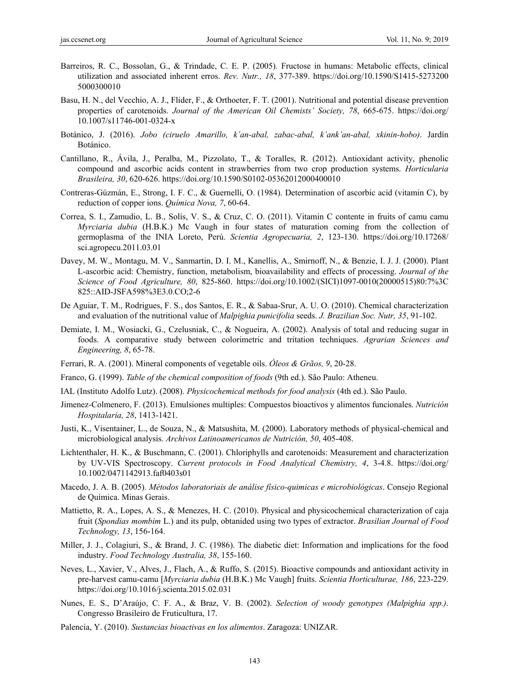- Barreiros, R. C., Bossolan, G., & Trindade, C. E. P. (2005). Fructose in humans: Metabolic effects, clinical utilization and associated inherent erros. *Rev. Nutr., 18*, 377-389. https://doi.org/10.1590/S1415-5273200 5000300010
- Basu, H. N., del Vecchio, A. J., Flider, F., & Orthoeter, F. T. (2001). Nutritional and potential disease prevention properties of carotenoids. *Journal of the American Oil Chemists' Society, 78*, 665-675. https://doi.org/ 10.1007/s11746-001-0324-x
- Botánico, J. (2016). *Jobo (ciruelo Amarillo, k'an-abal, zabac-abal, k'ank'an-abal, xkinin-hobo)*. Jardín Botánico.
- Cantillano, R., Ávila, J., Peralba, M., Pizzolato, T., & Toralles, R. (2012). Antioxidant activity, phenolic compound and ascorbic acids content in strawberries from two crop production systems. *Horticularia Brasileira, 30*, 620-626. https://doi.org/10.1590/S0102-05362012000400010
- Contreras-Gúzmán, E., Strong, I. F. C., & Guernelli, O. (1984). Determination of ascorbic acid (vitamin C), by reduction of copper ions. *Química Nova, 7*, 60-64.
- Correa, S. I., Zamudio, L. B., Solís, V. S., & Cruz, C. O. (2011). Vitamin C contente in fruits of camu camu *Myrciaria dubia* (H.B.K.) Mc Vaugh in four states of maturation coming from the collection of germoplasma of the INIA Loreto, Perú. *Scientia Agropecuaria, 2*, 123-130. https://doi.org/10.17268/ sci.agropecu.2011.03.01
- Davey, M. W., Montagu, M. V., Sanmartin, D. I. M., Kanellis, A., Smirnoff, N., & Benzie, I. J. J. (2000). Plant L-ascorbic acid: Chemistry, function, metabolism, bioavailability and effects of processing. *Journal of the Science of Food Agriculture, 80*, 825-860. https://doi.org/10.1002/(SICI)1097-0010(20000515)80:7%3C 825::AID-JSFA598%3E3.0.CO;2-6
- De Aguiar, T. M., Rodrigues, F. S., dos Santos, E. R., & Sabaa-Srur, A. U. O. (2010). Chemical characterization and evaluation of the nutritional value of *Malpighia punicifolia* seeds. *J. Brazilian Soc. Nutr, 35*, 91-102.
- Demiate, I. M., Wosiacki, G., Czelusniak, C., & Nogueira, A. (2002). Analysis of total and reducing sugar in foods. A comparative study between colorimetric and tritation techniques. *Agrarian Sciences and Engineering, 8*, 65-78.
- Ferrari, R. A. (2001). Mineral components of vegetable oils. *Óleos & Grãos, 9*, 20-28.
- Franco, G. (1999). *Table of the chemical composition of foods* (9th ed.). São Paulo: Atheneu.
- IAL (Instituto Adolfo Lutz). (2008). *Physicochemical methods for food analysis* (4th ed.). São Paulo.
- Jimenez-Colmenero, F. (2013). Emulsiones multiples: Compuestos bioactivos y alimentos funcionales. *Nutrición Hospitalaria, 28*, 1413-1421.
- Justi, K., Visentainer, L., de Souza, N., & Matsushita, M. (2000). Laboratory methods of physical-chemical and microbiological analysis. *Archivos Latinoamericanos de Nutrición, 50*, 405-408.
- Lichtenthaler, H. K., & Buschmann, C. (2001). Chloriphylls and carotenoids: Measurement and characterization by UV-VIS Spectroscopy. *Current protocols in Food Analytical Chemistry, 4*, 3-4.8. https://doi.org/ 10.1002/0471142913.faf0403s01
- Macedo, J. A. B. (2005). *Métodos laboratoriais de análise físico-quimicas e microbiológicas*. Consejo Regional de Química. Minas Gerais.
- Mattietto, R. A., Lopes, A. S., & Menezes, H. C. (2010). Physical and physicochemical characterization of caja fruit (*Spondias mombim* L.) and its pulp, obtanided using two types of extractor. *Brasilian Journal of Food Technology, 13*, 156-164.
- Miller, J. J., Colagiuri, S., & Brand, J. C. (1986). The diabetic diet: Information and implications for the food industry. *Food Technology Australia, 38*, 155-160.
- Neves, L., Xavier, V., Alves, J., Flach, A., & Ruffo, S. (2015). Bioactive compounds and antioxidant activity in pre-harvest camu-camu [*Myrciaria dubia* (H.B.K.) Mc Vaugh] fruits. *Scientia Horticulturae, 186*, 223-229. https://doi.org/10.1016/j.scienta.2015.02.031
- Nunes, E. S., D'Araújo, C. F. A., & Braz, V. B. (2002). *Selection of woody genotypes (Malpighia spp.)*. Congresso Brasileiro de Fruticultura, 17.
- Palencia, Y. (2010). *Sustancias bioactivas en los alimentos*. Zaragoza: UNIZAR.